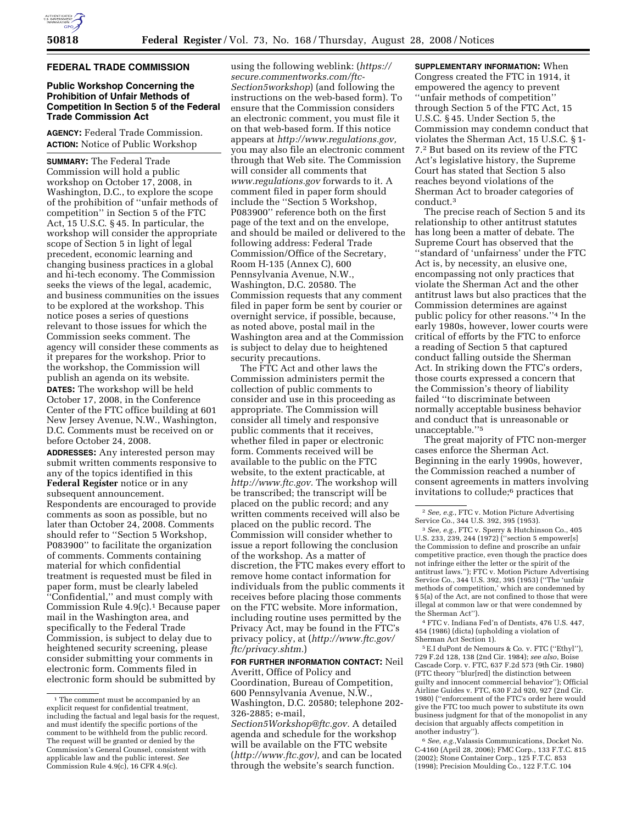

#### **FEDERAL TRADE COMMISSION**

## **Public Workshop Concerning the Prohibition of Unfair Methods of Competition In Section 5 of the Federal Trade Commission Act**

**AGENCY:** Federal Trade Commission. **ACTION:** Notice of Public Workshop

**SUMMARY:** The Federal Trade Commission will hold a public workshop on October 17, 2008, in Washington, D.C., to explore the scope of the prohibition of ''unfair methods of competition'' in Section 5 of the FTC Act, 15 U.S.C. § 45. In particular, the workshop will consider the appropriate scope of Section 5 in light of legal precedent, economic learning and changing business practices in a global and hi-tech economy. The Commission seeks the views of the legal, academic, and business communities on the issues to be explored at the workshop. This notice poses a series of questions relevant to those issues for which the Commission seeks comment. The agency will consider these comments as it prepares for the workshop. Prior to the workshop, the Commission will publish an agenda on its website. **DATES:** The workshop will be held

October 17, 2008, in the Conference Center of the FTC office building at 601 New Jersey Avenue, N.W., Washington, D.C. Comments must be received on or before October 24, 2008.

**ADDRESSES:** Any interested person may submit written comments responsive to any of the topics identified in this **Federal Register** notice or in any subsequent announcement. Respondents are encouraged to provide comments as soon as possible, but no later than October 24, 2008. Comments should refer to ''Section 5 Workshop, P083900'' to facilitate the organization of comments. Comments containing material for which confidential treatment is requested must be filed in paper form, must be clearly labeled ''Confidential,'' and must comply with Commission Rule 4.9(c).1 Because paper mail in the Washington area, and specifically to the Federal Trade Commission, is subject to delay due to heightened security screening, please consider submitting your comments in electronic form. Comments filed in electronic form should be submitted by

using the following weblink: (*https:// secure.commentworks.com/ftc-Section5workshop*) (and following the instructions on the web-based form). To ensure that the Commission considers an electronic comment, you must file it on that web-based form. If this notice appears at *http://www.regulations.gov,*  you may also file an electronic comment through that Web site. The Commission will consider all comments that *www.regulations.gov* forwards to it. A comment filed in paper form should include the ''Section 5 Workshop, P083900'' reference both on the first page of the text and on the envelope, and should be mailed or delivered to the following address: Federal Trade Commission/Office of the Secretary, Room H-135 (Annex C), 600 Pennsylvania Avenue, N.W., Washington, D.C. 20580. The Commission requests that any comment filed in paper form be sent by courier or overnight service, if possible, because, as noted above, postal mail in the Washington area and at the Commission is subject to delay due to heightened security precautions.

The FTC Act and other laws the Commission administers permit the collection of public comments to consider and use in this proceeding as appropriate. The Commission will consider all timely and responsive public comments that it receives, whether filed in paper or electronic form. Comments received will be available to the public on the FTC website, to the extent practicable, at *http://www.ftc.gov.* The workshop will be transcribed; the transcript will be placed on the public record; and any written comments received will also be placed on the public record. The Commission will consider whether to issue a report following the conclusion of the workshop. As a matter of discretion, the FTC makes every effort to remove home contact information for individuals from the public comments it receives before placing those comments on the FTC website. More information, including routine uses permitted by the Privacy Act, may be found in the FTC's privacy policy, at (*http://www.ftc.gov/ ftc/privacy.shtm.*)

**FOR FURTHER INFORMATION CONTACT:** Neil Averitt, Office of Policy and Coordination, Bureau of Competition, 600 Pennsylvania Avenue, N.W., Washington, D.C. 20580; telephone 202- 326-2885; e-mail,

*Section5Workshop@ftc.gov.* A detailed agenda and schedule for the workshop will be available on the FTC website (*http://www.ftc.gov),* and can be located through the website's search function.

**SUPPLEMENTARY INFORMATION:** When Congress created the FTC in 1914, it empowered the agency to prevent ''unfair methods of competition'' through Section 5 of the FTC Act, 15 U.S.C. § 45. Under Section 5, the Commission may condemn conduct that violates the Sherman Act, 15 U.S.C. § 1- 7.2 But based on its review of the FTC Act's legislative history, the Supreme Court has stated that Section 5 also reaches beyond violations of the Sherman Act to broader categories of conduct.3

The precise reach of Section 5 and its relationship to other antitrust statutes has long been a matter of debate. The Supreme Court has observed that the ''standard of 'unfairness' under the FTC Act is, by necessity, an elusive one, encompassing not only practices that violate the Sherman Act and the other antitrust laws but also practices that the Commission determines are against public policy for other reasons.''4 In the early 1980s, however, lower courts were critical of efforts by the FTC to enforce a reading of Section 5 that captured conduct falling outside the Sherman Act. In striking down the FTC's orders, those courts expressed a concern that the Commission's theory of liability failed ''to discriminate between normally acceptable business behavior and conduct that is unreasonable or unacceptable.''5

The great majority of FTC non-merger cases enforce the Sherman Act. Beginning in the early 1990s, however, the Commission reached a number of consent agreements in matters involving invitations to collude;6 practices that

3 *See, e.g.*, FTC v. Sperry & Hutchinson Co., 405 U.S. 233, 239, 244 (1972) (''section 5 empower[s] the Commission to define and proscribe an unfair competitive practice, even though the practice does not infringe either the letter or the spirit of the antitrust laws.''); FTC v. Motion Picture Advertising Service Co., 344 U.S. 392, 395 (1953) (''The 'unfair methods of competition,' which are condemned by § 5(a) of the Act, are not confined to those that were illegal at common law or that were condemned by the Sherman Act'').

4 FTC v. Indiana Fed'n of Dentists, 476 U.S. 447, 454 (1986) (dicta) (upholding a violation of Sherman Act Section 1).

5E.I duPont de Nemours & Co. v. FTC (''Ethyl''), 729 F.2d 128, 138 (2nd Cir. 1984); *see also*, Boise Cascade Corp. v. FTC, 637 F.2d 573 (9th Cir. 1980) (FTC theory ''blur[red] the distinction between guilty and innocent commercial behavior''); Official Airline Guides v. FTC, 630 F.2d 920, 927 (2nd Cir. 1980) (''enforcement of the FTC's order here would give the FTC too much power to substitute its own business judgment for that of the monopolist in any decision that arguably affects competition in another industry'').

6 *See, e.g.*,Valassis Communications, Docket No. C-4160 (April 28, 2006); FMC Corp., 133 F.T.C. 815 (2002); Stone Container Corp., 125 F.T.C. 853 (1998); Precision Moulding Co., 122 F.T.C. 104

<sup>&</sup>lt;sup>1</sup> The comment must be accompanied by an explicit request for confidential treatment, including the factual and legal basis for the request, and must identify the specific portions of the comment to be withheld from the public record. The request will be granted or denied by the Commission's General Counsel, consistent with applicable law and the public interest. *See*   $\overrightarrow{Common}$  Commission Rule 4.9(c), 16 CFR 4.9(c).

<sup>2</sup> *See, e.g.*, FTC v. Motion Picture Advertising Service Co., 344 U.S. 392, 395 (1953).